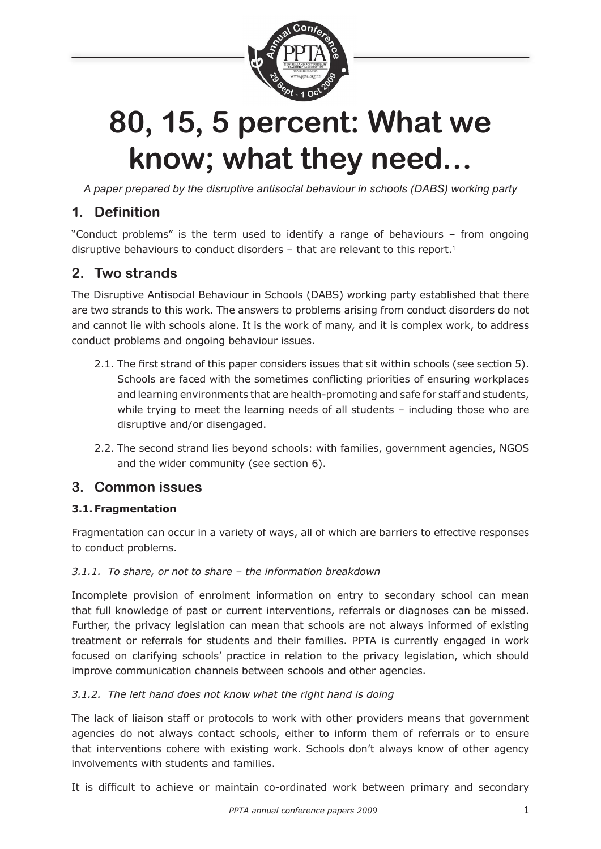

# **80, 15, 5 percent: What we know; what they need…**

*A paper prepared by the disruptive antisocial behaviour in schools (DABS) working party*

# **1. Definition**

"Conduct problems" is the term used to identify a range of behaviours – from ongoing disruptive behaviours to conduct disorders  $-$  that are relevant to this report.<sup>1</sup>

# **2. Two strands**

The Disruptive Antisocial Behaviour in Schools (DABS) working party established that there are two strands to this work. The answers to problems arising from conduct disorders do not and cannot lie with schools alone. It is the work of many, and it is complex work, to address conduct problems and ongoing behaviour issues.

- 2.1. The first strand of this paper considers issues that sit within schools (see section 5). Schools are faced with the sometimes conflicting priorities of ensuring workplaces and learning environments that are health-promoting and safe for staff and students, while trying to meet the learning needs of all students - including those who are disruptive and/or disengaged.
- 2.2. The second strand lies beyond schools: with families, government agencies, NGOS and the wider community (see section 6).

## **3. Common issues**

#### **3.1. Fragmentation**

Fragmentation can occur in a variety of ways, all of which are barriers to effective responses to conduct problems.

#### *3.1.1. To share, or not to share – the information breakdown*

Incomplete provision of enrolment information on entry to secondary school can mean that full knowledge of past or current interventions, referrals or diagnoses can be missed. Further, the privacy legislation can mean that schools are not always informed of existing treatment or referrals for students and their families. PPTA is currently engaged in work focused on clarifying schools' practice in relation to the privacy legislation, which should improve communication channels between schools and other agencies.

#### *3.1.2. The left hand does not know what the right hand is doing*

The lack of liaison staff or protocols to work with other providers means that government agencies do not always contact schools, either to inform them of referrals or to ensure that interventions cohere with existing work. Schools don't always know of other agency involvements with students and families.

It is difficult to achieve or maintain co-ordinated work between primary and secondary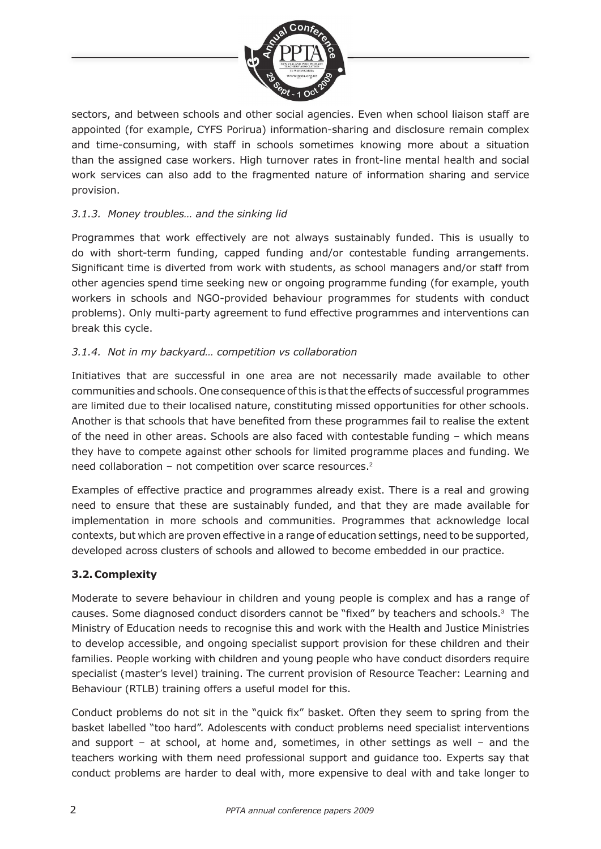

sectors, and between schools and other social agencies. Even when school liaison staff are appointed (for example, CYFS Porirua) information-sharing and disclosure remain complex and time-consuming, with staff in schools sometimes knowing more about a situation than the assigned case workers. High turnover rates in front-line mental health and social work services can also add to the fragmented nature of information sharing and service provision.

#### *3.1.3. Money troubles… and the sinking lid*

Programmes that work effectively are not always sustainably funded. This is usually to do with short-term funding, capped funding and/or contestable funding arrangements. Significant time is diverted from work with students, as school managers and/or staff from other agencies spend time seeking new or ongoing programme funding (for example, youth workers in schools and NGO-provided behaviour programmes for students with conduct problems). Only multi-party agreement to fund effective programmes and interventions can break this cycle.

#### *3.1.4. Not in my backyard… competition vs collaboration*

Initiatives that are successful in one area are not necessarily made available to other communities and schools. One consequence of this is that the effects of successful programmes are limited due to their localised nature, constituting missed opportunities for other schools. Another is that schools that have benefited from these programmes fail to realise the extent of the need in other areas. Schools are also faced with contestable funding – which means they have to compete against other schools for limited programme places and funding. We need collaboration – not competition over scarce resources.<sup>2</sup>

Examples of effective practice and programmes already exist. There is a real and growing need to ensure that these are sustainably funded, and that they are made available for implementation in more schools and communities. Programmes that acknowledge local contexts, but which are proven effective in a range of education settings, need to be supported, developed across clusters of schools and allowed to become embedded in our practice.

#### **3.2. Complexity**

Moderate to severe behaviour in children and young people is complex and has a range of causes. Some diagnosed conduct disorders cannot be "fixed" by teachers and schools. $3$  The Ministry of Education needs to recognise this and work with the Health and Justice Ministries to develop accessible, and ongoing specialist support provision for these children and their families. People working with children and young people who have conduct disorders require specialist (master's level) training. The current provision of Resource Teacher: Learning and Behaviour (RTLB) training offers a useful model for this.

Conduct problems do not sit in the "quick fix" basket. Often they seem to spring from the basket labelled "too hard". Adolescents with conduct problems need specialist interventions and support – at school, at home and, sometimes, in other settings as well – and the teachers working with them need professional support and guidance too. Experts say that conduct problems are harder to deal with, more expensive to deal with and take longer to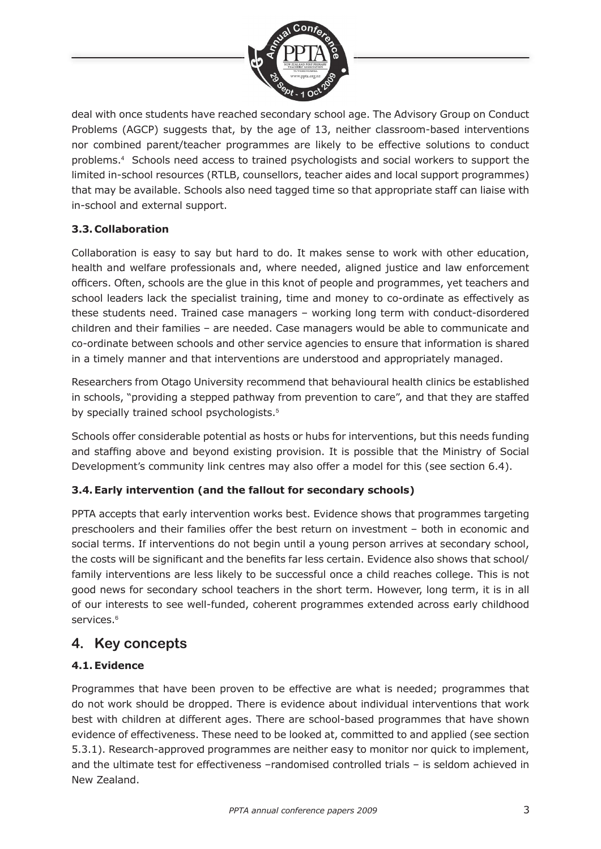

deal with once students have reached secondary school age. The Advisory Group on Conduct Problems (AGCP) suggests that, by the age of 13, neither classroom-based interventions nor combined parent/teacher programmes are likely to be effective solutions to conduct problems.<sup>4</sup> Schools need access to trained psychologists and social workers to support the limited in-school resources (RTLB, counsellors, teacher aides and local support programmes) that may be available. Schools also need tagged time so that appropriate staff can liaise with in-school and external support.

#### **3.3. Collaboration**

Collaboration is easy to say but hard to do. It makes sense to work with other education, health and welfare professionals and, where needed, aligned justice and law enforcement officers. Often, schools are the glue in this knot of people and programmes, yet teachers and school leaders lack the specialist training, time and money to co-ordinate as effectively as these students need. Trained case managers – working long term with conduct-disordered children and their families – are needed. Case managers would be able to communicate and co-ordinate between schools and other service agencies to ensure that information is shared in a timely manner and that interventions are understood and appropriately managed.

Researchers from Otago University recommend that behavioural health clinics be established in schools, "providing a stepped pathway from prevention to care", and that they are staffed by specially trained school psychologists.<sup>5</sup>

Schools offer considerable potential as hosts or hubs for interventions, but this needs funding and staffing above and beyond existing provision. It is possible that the Ministry of Social Development's community link centres may also offer a model for this (see section 6.4).

#### **3.4. Early intervention (and the fallout for secondary schools)**

PPTA accepts that early intervention works best. Evidence shows that programmes targeting preschoolers and their families offer the best return on investment – both in economic and social terms. If interventions do not begin until a young person arrives at secondary school, the costs will be significant and the benefits far less certain. Evidence also shows that school/ family interventions are less likely to be successful once a child reaches college. This is not good news for secondary school teachers in the short term. However, long term, it is in all of our interests to see well-funded, coherent programmes extended across early childhood services.<sup>6</sup>

## **4. Key concepts**

#### **4.1. Evidence**

Programmes that have been proven to be effective are what is needed; programmes that do not work should be dropped. There is evidence about individual interventions that work best with children at different ages. There are school-based programmes that have shown evidence of effectiveness. These need to be looked at, committed to and applied (see section 5.3.1). Research-approved programmes are neither easy to monitor nor quick to implement, and the ultimate test for effectiveness –randomised controlled trials – is seldom achieved in New Zealand.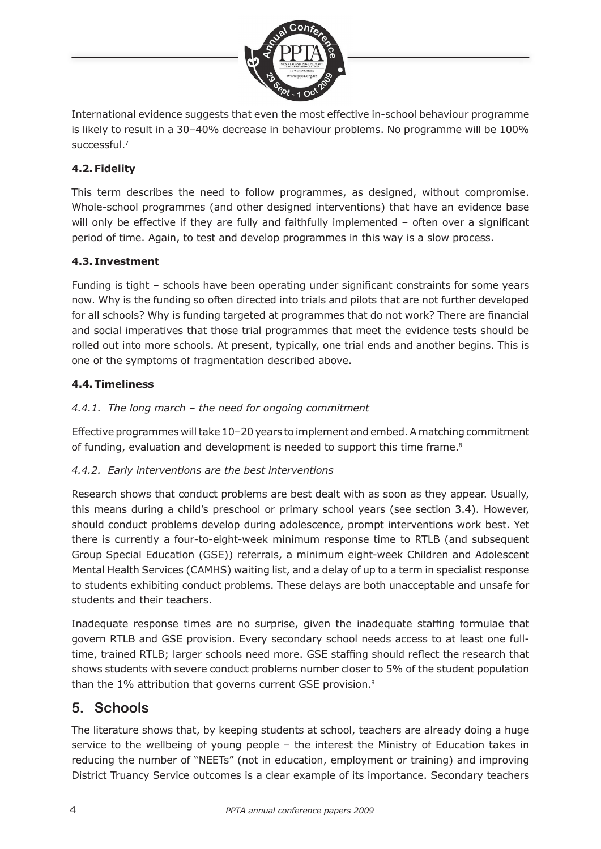

International evidence suggests that even the most effective in-school behaviour programme is likely to result in a 30–40% decrease in behaviour problems. No programme will be 100% successful.<sup>7</sup>

#### **4.2. Fidelity**

This term describes the need to follow programmes, as designed, without compromise. Whole-school programmes (and other designed interventions) that have an evidence base will only be effective if they are fully and faithfully implemented  $-$  often over a significant period of time. Again, to test and develop programmes in this way is a slow process.

#### **4.3. Investment**

Funding is tight – schools have been operating under significant constraints for some years now. Why is the funding so often directed into trials and pilots that are not further developed for all schools? Why is funding targeted at programmes that do not work? There are financial and social imperatives that those trial programmes that meet the evidence tests should be rolled out into more schools. At present, typically, one trial ends and another begins. This is one of the symptoms of fragmentation described above.

#### **4.4. Timeliness**

#### *4.4.1. The long march – the need for ongoing commitment*

Effective programmes will take 10–20 years to implement and embed. A matching commitment of funding, evaluation and development is needed to support this time frame. $8$ 

#### *4.4.2. Early interventions are the best interventions*

Research shows that conduct problems are best dealt with as soon as they appear. Usually, this means during a child's preschool or primary school years (see section 3.4). However, should conduct problems develop during adolescence, prompt interventions work best. Yet there is currently a four-to-eight-week minimum response time to RTLB (and subsequent Group Special Education (GSE)) referrals, a minimum eight-week Children and Adolescent Mental Health Services (CAMHS) waiting list, and a delay of up to a term in specialist response to students exhibiting conduct problems. These delays are both unacceptable and unsafe for students and their teachers.

Inadequate response times are no surprise, given the inadequate staffing formulae that govern RTLB and GSE provision. Every secondary school needs access to at least one fulltime, trained RTLB; larger schools need more. GSE staffing should reflect the research that shows students with severe conduct problems number closer to 5% of the student population than the 1% attribution that governs current GSE provision.<sup>9</sup>

## **5. Schools**

The literature shows that, by keeping students at school, teachers are already doing a huge service to the wellbeing of young people – the interest the Ministry of Education takes in reducing the number of "NEETs" (not in education, employment or training) and improving District Truancy Service outcomes is a clear example of its importance. Secondary teachers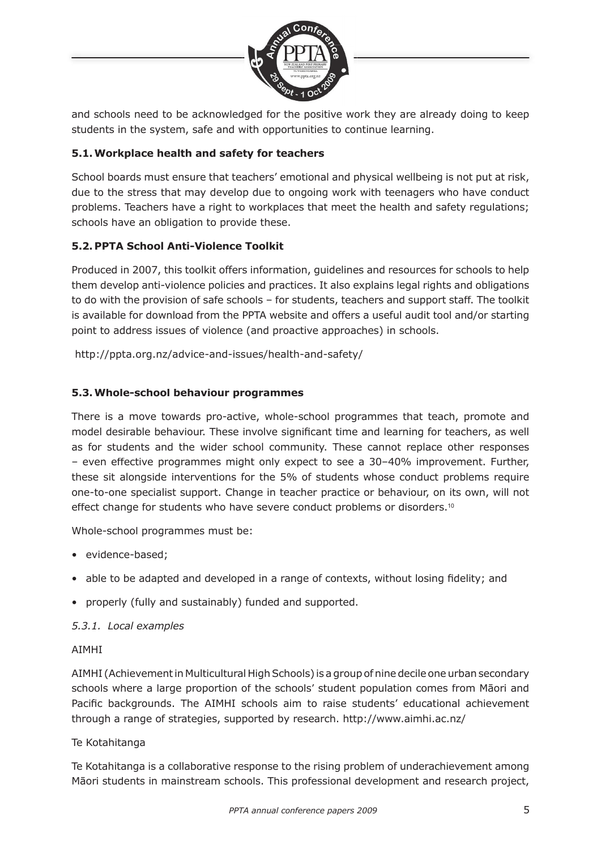

and schools need to be acknowledged for the positive work they are already doing to keep students in the system, safe and with opportunities to continue learning.

#### **5.1. Workplace health and safety for teachers**

School boards must ensure that teachers' emotional and physical wellbeing is not put at risk, due to the stress that may develop due to ongoing work with teenagers who have conduct problems. Teachers have a right to workplaces that meet the health and safety regulations; schools have an obligation to provide these.

#### **5.2. PPTA School Anti-Violence Toolkit**

Produced in 2007, this toolkit offers information, guidelines and resources for schools to help them develop anti-violence policies and practices. It also explains legal rights and obligations to do with the provision of safe schools – for students, teachers and support staff. The toolkit is available for download from the PPTA website and offers a useful audit tool and/or starting point to address issues of violence (and proactive approaches) in schools.

http://ppta.org.nz/advice-and-issues/health-and-safety/

#### **5.3. Whole-school behaviour programmes**

There is a move towards pro-active, whole-school programmes that teach, promote and model desirable behaviour. These involve significant time and learning for teachers, as well as for students and the wider school community. These cannot replace other responses – even effective programmes might only expect to see a 30–40% improvement. Further, these sit alongside interventions for the 5% of students whose conduct problems require one-to-one specialist support. Change in teacher practice or behaviour, on its own, will not effect change for students who have severe conduct problems or disorders.<sup>10</sup>

Whole-school programmes must be:

- evidence-based;
- able to be adapted and developed in a range of contexts, without losing fidelity; and
- properly (fully and sustainably) funded and supported.

#### *5.3.1. Local examples*

#### AIMHI

AIMHI (Achievement in Multicultural High Schools) is a group of nine decile one urban secondary schools where a large proportion of the schools' student population comes from Māori and Pacific backgrounds. The AIMHI schools aim to raise students' educational achievement through a range of strategies, supported by research. http://www.aimhi.ac.nz/

#### Te Kotahitanga

Te Kotahitanga is a collaborative response to the rising problem of underachievement among Māori students in mainstream schools. This professional development and research project,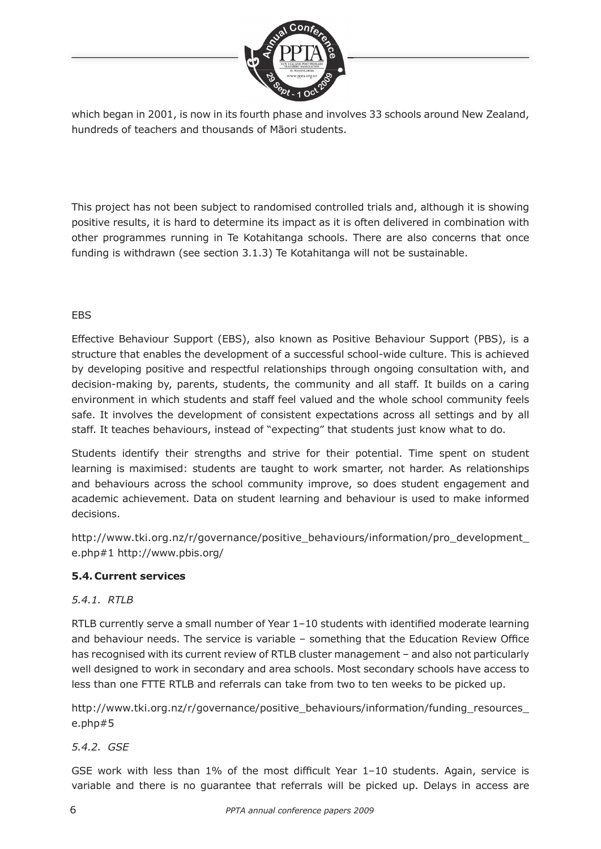

which began in 2001, is now in its fourth phase and involves 33 schools around New Zealand, hundreds of teachers and thousands of Māori students.

This project has not been subject to randomised controlled trials and, although it is showing positive results, it is hard to determine its impact as it is often delivered in combination with other programmes running in Te Kotahitanga schools. There are also concerns that once funding is withdrawn (see section 3.1.3) Te Kotahitanga will not be sustainable.

#### EBS

Effective Behaviour Support (EBS), also known as Positive Behaviour Support (PBS), is a structure that enables the development of a successful school-wide culture. This is achieved by developing positive and respectful relationships through ongoing consultation with, and decision-making by, parents, students, the community and all staff. It builds on a caring environment in which students and staff feel valued and the whole school community feels safe. It involves the development of consistent expectations across all settings and by all staff. It teaches behaviours, instead of "expecting" that students just know what to do.

Students identify their strengths and strive for their potential. Time spent on student learning is maximised: students are taught to work smarter, not harder. As relationships and behaviours across the school community improve, so does student engagement and academic achievement. Data on student learning and behaviour is used to make informed decisions.

http://www.tki.org.nz/r/governance/positive\_behaviours/information/pro\_development\_ e.php#1 http://www.pbis.org/

#### **5.4. Current services**

#### *5.4.1. RTLB*

RTLB currently serve a small number of Year  $1-10$  students with identified moderate learning and behaviour needs. The service is variable  $-$  something that the Education Review Office has recognised with its current review of RTLB cluster management - and also not particularly well designed to work in secondary and area schools. Most secondary schools have access to less than one FTTE RTLB and referrals can take from two to ten weeks to be picked up.

http://www.tki.org.nz/r/governance/positive\_behaviours/information/funding\_resources\_ e.php#5

#### *5.4.2. GSE*

GSE work with less than  $1\%$  of the most difficult Year  $1-10$  students. Again, service is variable and there is no guarantee that referrals will be picked up. Delays in access are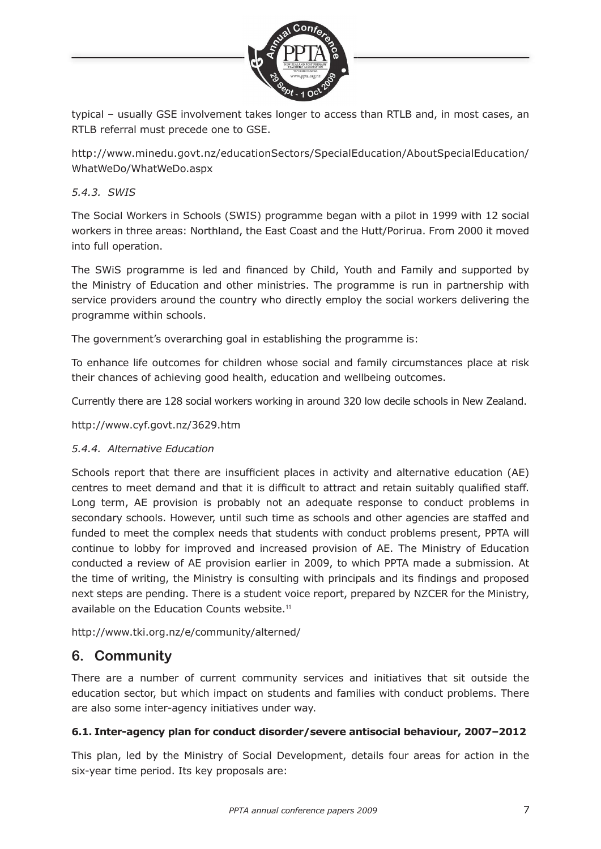

typical – usually GSE involvement takes longer to access than RTLB and, in most cases, an RTLB referral must precede one to GSE.

http://www.minedu.govt.nz/educationSectors/SpecialEducation/AboutSpecialEducation/ WhatWeDo/WhatWeDo.aspx

#### *5.4.3. SWIS*

The Social Workers in Schools (SWIS) programme began with a pilot in 1999 with 12 social workers in three areas: Northland, the East Coast and the Hutt/Porirua. From 2000 it moved into full operation.

The SWiS programme is led and financed by Child, Youth and Family and supported by the Ministry of Education and other ministries. The programme is run in partnership with service providers around the country who directly employ the social workers delivering the programme within schools.

The government's overarching goal in establishing the programme is:

To enhance life outcomes for children whose social and family circumstances place at risk their chances of achieving good health, education and wellbeing outcomes.

Currently there are 128 social workers working in around 320 low decile schools in New Zealand.

http://www.cyf.govt.nz/3629.htm

#### *5.4.4. Alternative Education*

Schools report that there are insufficient places in activity and alternative education (AE) centres to meet demand and that it is difficult to attract and retain suitably qualified staff. Long term, AE provision is probably not an adequate response to conduct problems in secondary schools. However, until such time as schools and other agencies are staffed and funded to meet the complex needs that students with conduct problems present, PPTA will continue to lobby for improved and increased provision of AE. The Ministry of Education conducted a review of AE provision earlier in 2009, to which PPTA made a submission. At the time of writing, the Ministry is consulting with principals and its findings and proposed next steps are pending. There is a student voice report, prepared by NZCER for the Ministry, available on the Education Counts website.<sup>11</sup>

http://www.tki.org.nz/e/community/alterned/

## **6. Community**

There are a number of current community services and initiatives that sit outside the education sector, but which impact on students and families with conduct problems. There are also some inter-agency initiatives under way.

#### **6.1. Inter-agency plan for conduct disorder/severe antisocial behaviour, 2007–2012**

This plan, led by the Ministry of Social Development, details four areas for action in the six-year time period. Its key proposals are: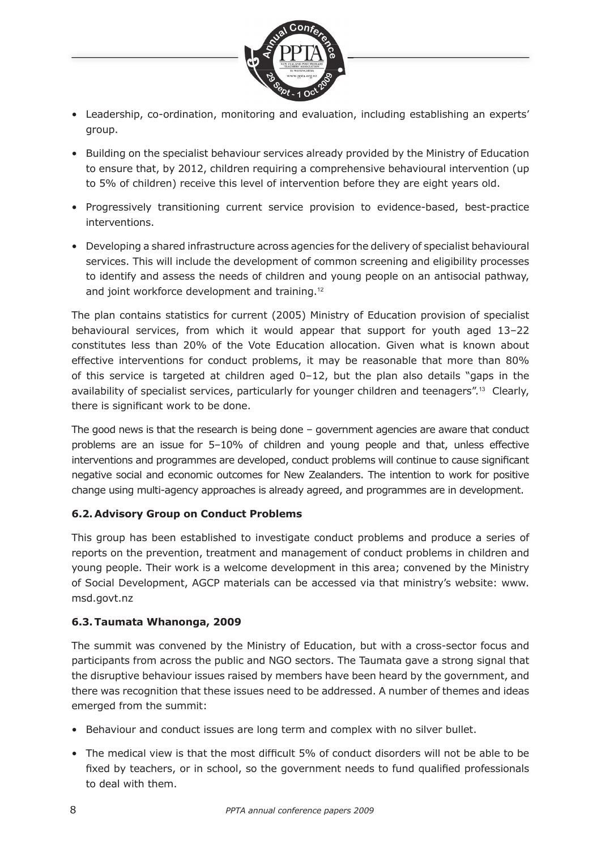

- Leadership, co-ordination, monitoring and evaluation, including establishing an experts' group.
- Building on the specialist behaviour services already provided by the Ministry of Education to ensure that, by 2012, children requiring a comprehensive behavioural intervention (up to 5% of children) receive this level of intervention before they are eight years old.
- Progressively transitioning current service provision to evidence-based, best-practice interventions.
- Developing a shared infrastructure across agencies for the delivery of specialist behavioural services. This will include the development of common screening and eligibility processes to identify and assess the needs of children and young people on an antisocial pathway, and joint workforce development and training.<sup>12</sup>

The plan contains statistics for current (2005) Ministry of Education provision of specialist behavioural services, from which it would appear that support for youth aged 13–22 constitutes less than 20% of the Vote Education allocation. Given what is known about effective interventions for conduct problems, it may be reasonable that more than 80% of this service is targeted at children aged  $0-12$ , but the plan also details "gaps in the availability of specialist services, particularly for younger children and teenagers".<sup>13</sup> Clearly, there is significant work to be done.

The good news is that the research is being done – government agencies are aware that conduct problems are an issue for 5–10% of children and young people and that, unless effective interventions and programmes are developed, conduct problems will continue to cause significant negative social and economic outcomes for New Zealanders. The intention to work for positive change using multi-agency approaches is already agreed, and programmes are in development.

#### **6.2. Advisory Group on Conduct Problems**

This group has been established to investigate conduct problems and produce a series of reports on the prevention, treatment and management of conduct problems in children and young people. Their work is a welcome development in this area; convened by the Ministry of Social Development, AGCP materials can be accessed via that ministry's website: www. msd.govt.nz

#### **6.3. Taumata Whanonga, 2009**

The summit was convened by the Ministry of Education, but with a cross-sector focus and participants from across the public and NGO sectors. The Taumata gave a strong signal that the disruptive behaviour issues raised by members have been heard by the government, and there was recognition that these issues need to be addressed. A number of themes and ideas emerged from the summit:

- Behaviour and conduct issues are long term and complex with no silver bullet.
- The medical view is that the most difficult 5% of conduct disorders will not be able to be fixed by teachers, or in school, so the government needs to fund qualified professionals to deal with them.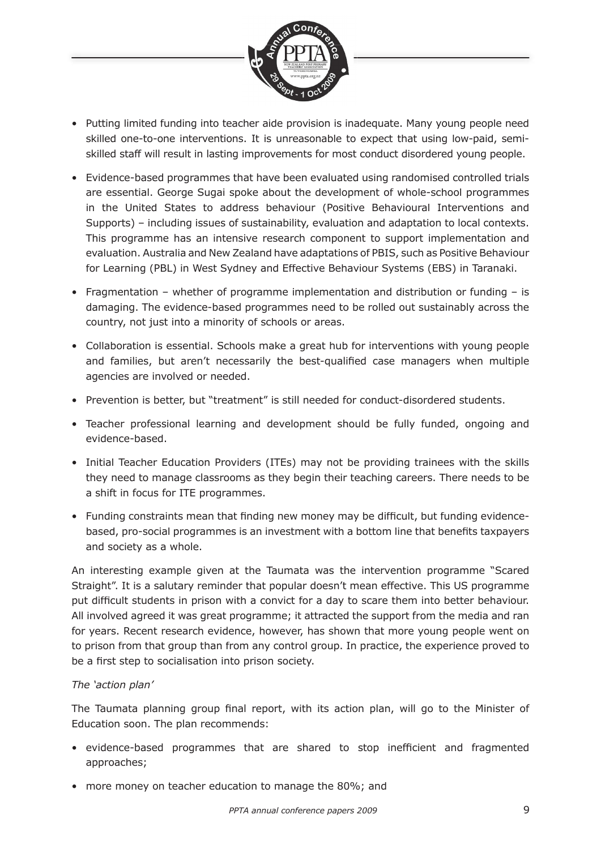

- Putting limited funding into teacher aide provision is inadequate. Many young people need skilled one-to-one interventions. It is unreasonable to expect that using low-paid, semiskilled staff will result in lasting improvements for most conduct disordered young people.
- Evidence-based programmes that have been evaluated using randomised controlled trials are essential. George Sugai spoke about the development of whole-school programmes in the United States to address behaviour (Positive Behavioural Interventions and Supports) – including issues of sustainability, evaluation and adaptation to local contexts. This programme has an intensive research component to support implementation and evaluation. Australia and New Zealand have adaptations of PBIS, such as Positive Behaviour for Learning (PBL) in West Sydney and Effective Behaviour Systems (EBS) in Taranaki.
- Fragmentation whether of programme implementation and distribution or funding is damaging. The evidence-based programmes need to be rolled out sustainably across the country, not just into a minority of schools or areas.
- Collaboration is essential. Schools make a great hub for interventions with young people and families, but aren't necessarily the best-qualified case managers when multiple agencies are involved or needed.
- Prevention is better, but "treatment" is still needed for conduct-disordered students.
- Teacher professional learning and development should be fully funded, ongoing and evidence-based.
- Initial Teacher Education Providers (ITEs) may not be providing trainees with the skills they need to manage classrooms as they begin their teaching careers. There needs to be a shift in focus for ITE programmes.
- Funding constraints mean that finding new money may be difficult, but funding evidencebased, pro-social programmes is an investment with a bottom line that benefits taxpayers and society as a whole.

An interesting example given at the Taumata was the intervention programme "Scared Straight". It is a salutary reminder that popular doesn't mean effective. This US programme put difficult students in prison with a convict for a day to scare them into better behaviour. All involved agreed it was great programme; it attracted the support from the media and ran for years. Recent research evidence, however, has shown that more young people went on to prison from that group than from any control group. In practice, the experience proved to be a first step to socialisation into prison society.

#### *The 'action plan'*

The Taumata planning group final report, with its action plan, will go to the Minister of Education soon. The plan recommends:

- evidence-based programmes that are shared to stop inefficient and fragmented approaches;
- more money on teacher education to manage the 80%; and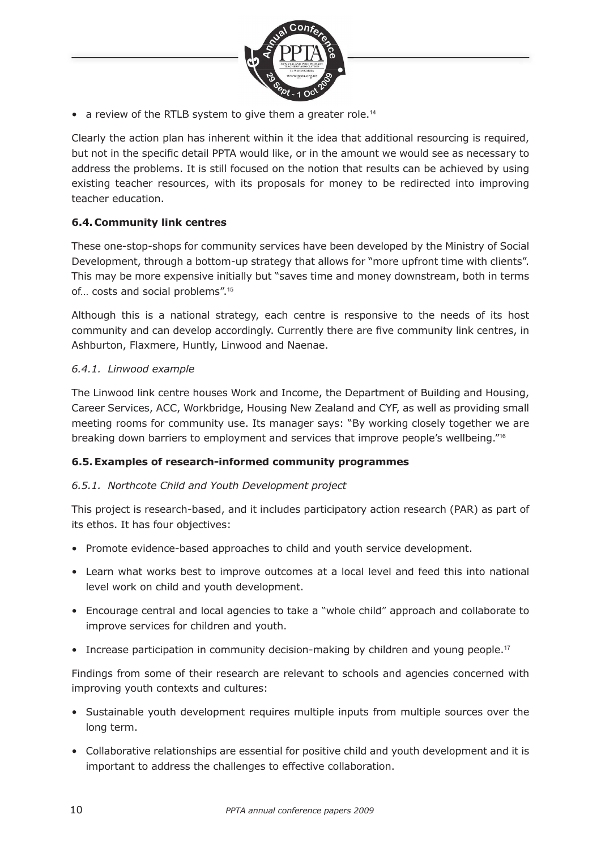

• a review of the RTLB system to give them a greater role.<sup>14</sup>

Clearly the action plan has inherent within it the idea that additional resourcing is required, but not in the specific detail PPTA would like, or in the amount we would see as necessary to address the problems. It is still focused on the notion that results can be achieved by using existing teacher resources, with its proposals for money to be redirected into improving teacher education.

#### **6.4. Community link centres**

These one-stop-shops for community services have been developed by the Ministry of Social Development, through a bottom-up strategy that allows for "more upfront time with clients". This may be more expensive initially but "saves time and money downstream, both in terms of… costs and social problems".<sup>15</sup>

Although this is a national strategy, each centre is responsive to the needs of its host community and can develop accordingly. Currently there are five community link centres, in Ashburton, Flaxmere, Huntly, Linwood and Naenae.

#### *6.4.1. Linwood example*

The Linwood link centre houses Work and Income, the Department of Building and Housing, Career Services, ACC, Workbridge, Housing New Zealand and CYF, as well as providing small meeting rooms for community use. Its manager says: "By working closely together we are breaking down barriers to employment and services that improve people's wellbeing."<sup>16</sup>

#### **6.5. Examples of research-informed community programmes**

#### *6.5.1. Northcote Child and Youth Development project*

This project is research-based, and it includes participatory action research (PAR) as part of its ethos. It has four objectives:

- Promote evidence-based approaches to child and youth service development.
- Learn what works best to improve outcomes at a local level and feed this into national level work on child and youth development.
- Encourage central and local agencies to take a "whole child" approach and collaborate to improve services for children and youth.
- Increase participation in community decision-making by children and young people.<sup>17</sup>

Findings from some of their research are relevant to schools and agencies concerned with improving youth contexts and cultures:

- Sustainable youth development requires multiple inputs from multiple sources over the long term.
- Collaborative relationships are essential for positive child and youth development and it is important to address the challenges to effective collaboration.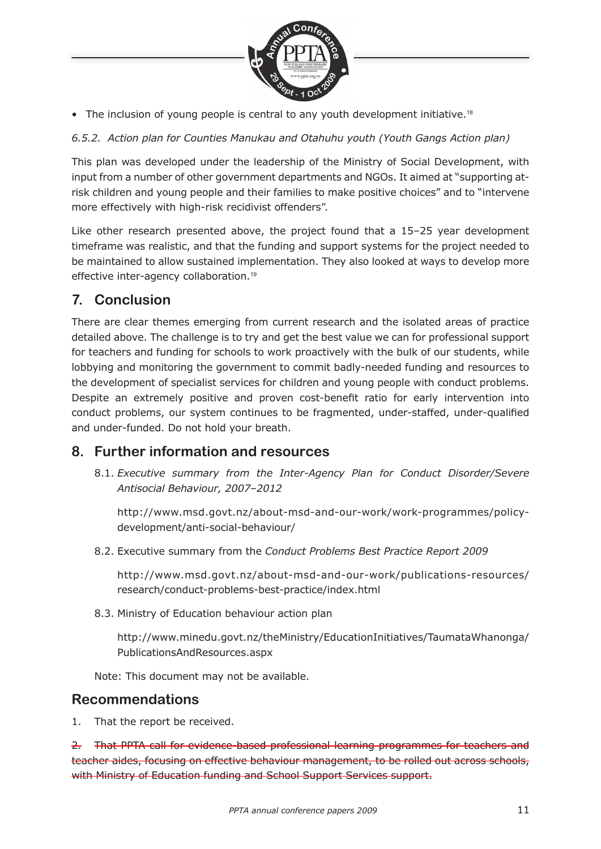

• The inclusion of young people is central to any youth development initiative.<sup>18</sup>

*6.5.2. Action plan for Counties Manukau and Otahuhu youth (Youth Gangs Action plan)*

This plan was developed under the leadership of the Ministry of Social Development, with input from a number of other government departments and NGOs. It aimed at "supporting atrisk children and young people and their families to make positive choices" and to "intervene more effectively with high-risk recidivist offenders".

Like other research presented above, the project found that a 15–25 year development timeframe was realistic, and that the funding and support systems for the project needed to be maintained to allow sustained implementation. They also looked at ways to develop more effective inter-agency collaboration.<sup>19</sup>

# **7. Conclusion**

There are clear themes emerging from current research and the isolated areas of practice detailed above. The challenge is to try and get the best value we can for professional support for teachers and funding for schools to work proactively with the bulk of our students, while lobbying and monitoring the government to commit badly-needed funding and resources to the development of specialist services for children and young people with conduct problems. Despite an extremely positive and proven cost-benefit ratio for early intervention into conduct problems, our system continues to be fragmented, under-staffed, under-qualified and under-funded. Do not hold your breath.

## **8. Further information and resources**

8.1. *Executive summary from the Inter-Agency Plan for Conduct Disorder/Severe Antisocial Behaviour, 2007–2012*

http://www.msd.govt.nz/about-msd-and-our-work/work-programmes/policydevelopment/anti-social-behaviour/

8.2. Executive summary from the *Conduct Problems Best Practice Report 2009*

http://www.msd.govt.nz/about-msd-and-our-work/publications-resources/ research/conduct-problems-best-practice/index.html

8.3. Ministry of Education behaviour action plan

http://www.minedu.govt.nz/theMinistry/EducationInitiatives/TaumataWhanonga/ PublicationsAndResources.aspx

Note: This document may not be available.

## **Recommendations**

1. That the report be received.

2. That PPTA call for evidence-based professional learning programmes for teachers and teacher aides, focusing on effective behaviour management, to be rolled out across schools, with Ministry of Education funding and School Support Services support.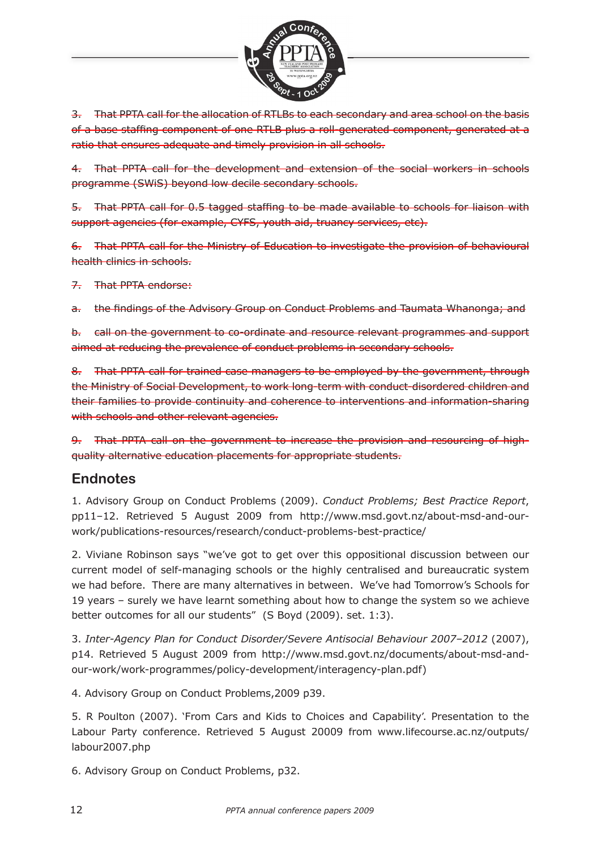

3. That PPTA call for the allocation of RTLBs to each secondary and area school on the basis of a base staffing component of one RTLB plus a roll-generated component, generated at a ratio that ensures adequate and timely provision in all schools.

4. That PPTA call for the development and extension of the social workers in schools programme (SWiS) beyond low decile secondary schools.

5. That PPTA call for 0.5 tagged staffing to be made available to schools for liaison with support agencies (for example, CYFS, youth aid, truancy services, etc).

6. That PPTA call for the Ministry of Education to investigate the provision of behavioural health clinics in schools.

7. That PPTA endorse:

a. the findings of the Advisory Group on Conduct Problems and Taumata Whanonga; and

b. call on the government to co-ordinate and resource relevant programmes and support aimed at reducing the prevalence of conduct problems in secondary schools.

8. That PPTA call for trained case managers to be employed by the government, through the Ministry of Social Development, to work long-term with conduct-disordered children and their families to provide continuity and coherence to interventions and information-sharing with schools and other relevant agencies.

9. That PPTA call on the government to increase the provision and resourcing of highquality alternative education placements for appropriate students.

## **Endnotes**

1. Advisory Group on Conduct Problems (2009). *Conduct Problems; Best Practice Report*, pp11–12. Retrieved 5 August 2009 from http://www.msd.govt.nz/about-msd-and-ourwork/publications-resources/research/conduct-problems-best-practice/

2. Viviane Robinson says "we've got to get over this oppositional discussion between our current model of self-managing schools or the highly centralised and bureaucratic system we had before. There are many alternatives in between. We've had Tomorrow's Schools for 19 years – surely we have learnt something about how to change the system so we achieve better outcomes for all our students" (S Boyd (2009). set. 1:3).

3. *Inter-Agency Plan for Conduct Disorder/Severe Antisocial Behaviour 2007–2012* (2007), p14. Retrieved 5 August 2009 from http://www.msd.govt.nz/documents/about-msd-andour-work/work-programmes/policy-development/interagency-plan.pdf)

4. Advisory Group on Conduct Problems,2009 p39.

5. R Poulton (2007). 'From Cars and Kids to Choices and Capability'. Presentation to the Labour Party conference. Retrieved 5 August 20009 from www.lifecourse.ac.nz/outputs/ labour2007.php

6. Advisory Group on Conduct Problems, p32.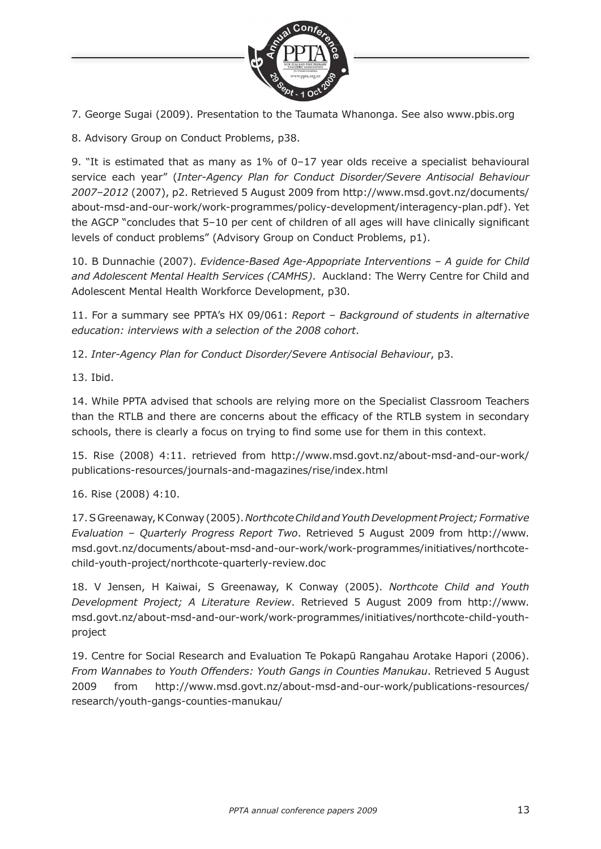

7. George Sugai (2009). Presentation to the Taumata Whanonga. See also www.pbis.org

8. Advisory Group on Conduct Problems, p38.

9. "It is estimated that as many as 1% of 0–17 year olds receive a specialist behavioural service each year" (*Inter-Agency Plan for Conduct Disorder/Severe Antisocial Behaviour 2007–2012* (2007), p2. Retrieved 5 August 2009 from http://www.msd.govt.nz/documents/ about-msd-and-our-work/work-programmes/policy-development/interagency-plan.pdf). Yet the AGCP "concludes that  $5-10$  per cent of children of all ages will have clinically significant levels of conduct problems" (Advisory Group on Conduct Problems, p1).

10. B Dunnachie (2007). *Evidence-Based Age-Appopriate Interventions – A guide for Child and Adolescent Mental Health Services (CAMHS)*. Auckland: The Werry Centre for Child and Adolescent Mental Health Workforce Development, p30.

11. For a summary see PPTA's HX 09/061: *Report – Background of students in alternative education: interviews with a selection of the 2008 cohort*.

12. *Inter-Agency Plan for Conduct Disorder/Severe Antisocial Behaviour*, p3.

13. Ibid.

14. While PPTA advised that schools are relying more on the Specialist Classroom Teachers than the RTLB and there are concerns about the efficacy of the RTLB system in secondary schools, there is clearly a focus on trying to find some use for them in this context.

15. Rise (2008) 4:11. retrieved from http://www.msd.govt.nz/about-msd-and-our-work/ publications-resources/journals-and-magazines/rise/index.html

16. Rise (2008) 4:10.

17. S Greenaway, K Conway (2005). *Northcote Child and Youth Development Project; Formative Evaluation – Quarterly Progress Report Two*. Retrieved 5 August 2009 from http://www. msd.govt.nz/documents/about-msd-and-our-work/work-programmes/initiatives/northcotechild-youth-project/northcote-quarterly-review.doc

18. V Jensen, H Kaiwai, S Greenaway, K Conway (2005). *Northcote Child and Youth Development Project; A Literature Review*. Retrieved 5 August 2009 from http://www. msd.govt.nz/about-msd-and-our-work/work-programmes/initiatives/northcote-child-youthproject

19. Centre for Social Research and Evaluation Te Pokapū Rangahau Arotake Hapori (2006). *From Wannabes to Youth Offenders: Youth Gangs in Counties Manukau*. Retrieved 5 August 2009 from http://www.msd.govt.nz/about-msd-and-our-work/publications-resources/ research/youth-gangs-counties-manukau/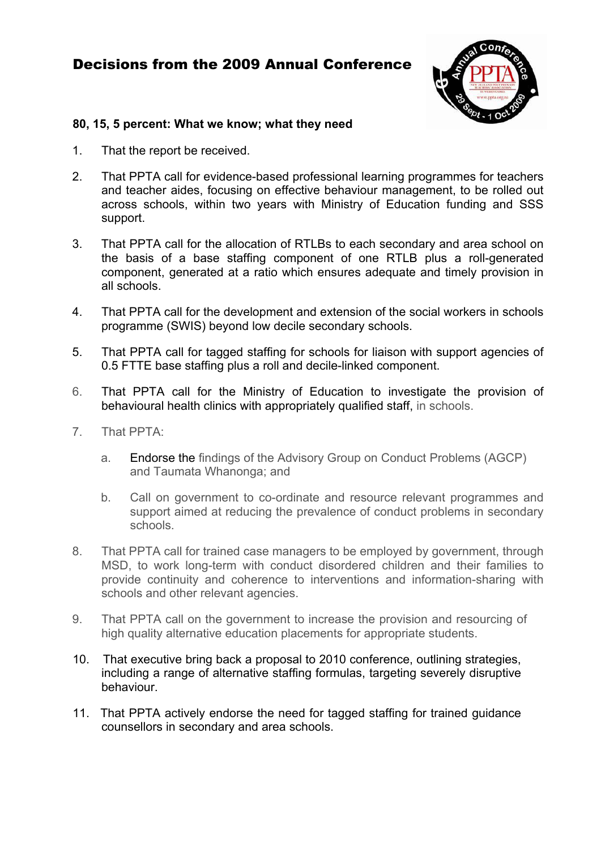# Decisions from the 2009 Annual Conference



#### **80, 15, 5 percent: What we know; what they need**

- 1. That the report be received.
- 2. That PPTA call for evidence-based professional learning programmes for teachers and teacher aides, focusing on effective behaviour management, to be rolled out across schools, within two years with Ministry of Education funding and SSS support.
- 3. That PPTA call for the allocation of RTLBs to each secondary and area school on the basis of a base staffing component of one RTLB plus a roll-generated component, generated at a ratio which ensures adequate and timely provision in all schools.
- 4. That PPTA call for the development and extension of the social workers in schools programme (SWIS) beyond low decile secondary schools.
- 5. That PPTA call for tagged staffing for schools for liaison with support agencies of 0.5 FTTE base staffing plus a roll and decile-linked component.
- 6. That PPTA call for the Ministry of Education to investigate the provision of behavioural health clinics with appropriately qualified staff, in schools.
- 7. That PPTA:
	- a. Endorse the findings of the Advisory Group on Conduct Problems (AGCP) and Taumata Whanonga; and
	- b. Call on government to co-ordinate and resource relevant programmes and support aimed at reducing the prevalence of conduct problems in secondary schools.
- 8. That PPTA call for trained case managers to be employed by government, through MSD, to work long-term with conduct disordered children and their families to provide continuity and coherence to interventions and information-sharing with schools and other relevant agencies.
- 9. That PPTA call on the government to increase the provision and resourcing of high quality alternative education placements for appropriate students.
- 10. That executive bring back a proposal to 2010 conference, outlining strategies, including a range of alternative staffing formulas, targeting severely disruptive behaviour.
- 11. That PPTA actively endorse the need for tagged staffing for trained guidance counsellors in secondary and area schools.